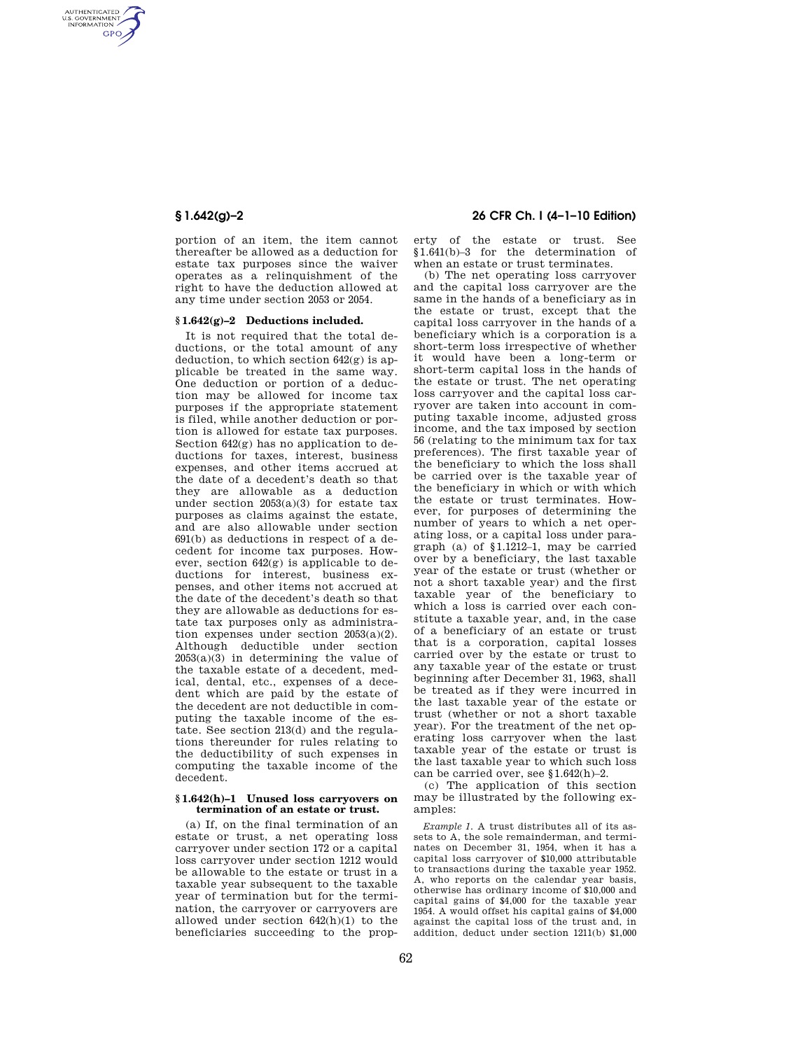AUTHENTICATED<br>U.S. GOVERNMENT<br>INFORMATION **GPO** 

> portion of an item, the item cannot thereafter be allowed as a deduction for estate tax purposes since the waiver operates as a relinquishment of the right to have the deduction allowed at any time under section 2053 or 2054.

## **§ 1.642(g)–2 Deductions included.**

It is not required that the total deductions, or the total amount of any deduction, to which section  $642(g)$  is applicable be treated in the same way. One deduction or portion of a deduction may be allowed for income tax purposes if the appropriate statement is filed, while another deduction or portion is allowed for estate tax purposes. Section 642(g) has no application to deductions for taxes, interest, business expenses, and other items accrued at the date of a decedent's death so that they are allowable as a deduction under section 2053(a)(3) for estate tax purposes as claims against the estate, and are also allowable under section 691(b) as deductions in respect of a decedent for income tax purposes. However, section 642(g) is applicable to deductions for interest, business expenses, and other items not accrued at the date of the decedent's death so that they are allowable as deductions for estate tax purposes only as administration expenses under section 2053(a)(2). Although deductible under section  $2053(a)(3)$  in determining the value of the taxable estate of a decedent, medical, dental, etc., expenses of a decedent which are paid by the estate of the decedent are not deductible in computing the taxable income of the estate. See section 213(d) and the regulations thereunder for rules relating to the deductibility of such expenses in computing the taxable income of the decedent.

#### **§ 1.642(h)–1 Unused loss carryovers on termination of an estate or trust.**

(a) If, on the final termination of an estate or trust, a net operating loss carryover under section 172 or a capital loss carryover under section 1212 would be allowable to the estate or trust in a taxable year subsequent to the taxable year of termination but for the termination, the carryover or carryovers are allowed under section 642(h)(1) to the beneficiaries succeeding to the prop-

# **§ 1.642(g)–2 26 CFR Ch. I (4–1–10 Edition)**

erty of the estate or trust. See §1.641(b)–3 for the determination of when an estate or trust terminates.

(b) The net operating loss carryover and the capital loss carryover are the same in the hands of a beneficiary as in the estate or trust, except that the capital loss carryover in the hands of a beneficiary which is a corporation is a short-term loss irrespective of whether it would have been a long-term or short-term capital loss in the hands of the estate or trust. The net operating loss carryover and the capital loss carryover are taken into account in computing taxable income, adjusted gross income, and the tax imposed by section 56 (relating to the minimum tax for tax preferences). The first taxable year of the beneficiary to which the loss shall be carried over is the taxable year of the beneficiary in which or with which the estate or trust terminates. However, for purposes of determining the number of years to which a net operating loss, or a capital loss under paragraph (a) of §1.1212–1, may be carried over by a beneficiary, the last taxable year of the estate or trust (whether or not a short taxable year) and the first taxable year of the beneficiary to which a loss is carried over each constitute a taxable year, and, in the case of a beneficiary of an estate or trust that is a corporation, capital losses carried over by the estate or trust to any taxable year of the estate or trust beginning after December 31, 1963, shall be treated as if they were incurred in the last taxable year of the estate or trust (whether or not a short taxable year). For the treatment of the net operating loss carryover when the last taxable year of the estate or trust is the last taxable year to which such loss can be carried over, see §1.642(h)–2.

(c) The application of this section may be illustrated by the following examples:

*Example 1.* A trust distributes all of its assets to A, the sole remainderman, and terminates on December 31, 1954, when it has a capital loss carryover of \$10,000 attributable to transactions during the taxable year 1952. A, who reports on the calendar year basis, otherwise has ordinary income of \$10,000 and capital gains of \$4,000 for the taxable year 1954. A would offset his capital gains of \$4,000 against the capital loss of the trust and, in addition, deduct under section 1211(b) \$1,000